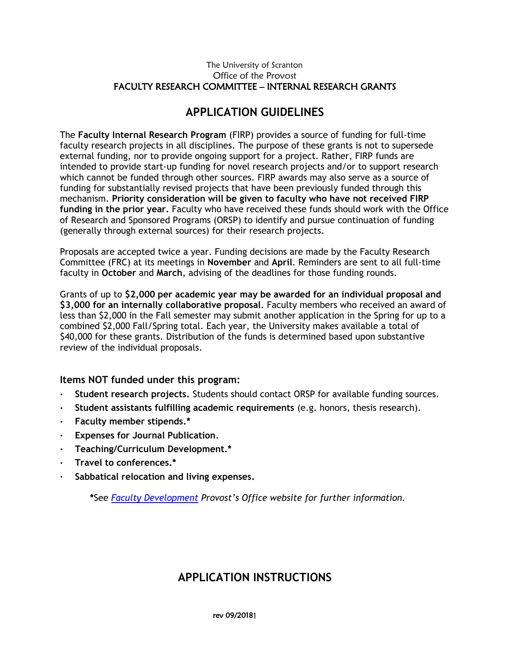## **APPLICATION GUIDELINES**

The **Faculty Internal Research Program** (FIRP) provides a source of funding for full-time faculty research projects in all disciplines. The purpose of these grants is not to supersede external funding, nor to provide ongoing support for a project. Rather, FIRP funds are intended to provide start-up funding for novel research projects and/or to support research which cannot be funded through other sources. FIRP awards may also serve as a source of funding for substantially revised projects that have been previously funded through this mechanism. **Priority consideration will be given to faculty who have not received FIRP funding in the prior year.** Faculty who have received these funds should work with the Office of Research and Sponsored Programs (ORSP) to identify and pursue continuation of funding (generally through external sources) for their research projects.

Proposals are accepted twice a year. Funding decisions are made by the Faculty Research Committee (FRC) at its meetings in **November** and **April**. Reminders are sent to all full-time faculty in **October** and **March**, advising of the deadlines for those funding rounds.

Grants of up to **\$2,000 per academic year may be awarded for an individual proposal and \$3,000 for an internally collaborative proposal**. Faculty members who received an award of less than \$2,000 in the Fall semester may submit another application in the Spring for up to a combined \$2,000 Fall/Spring total. Each year, the University makes available a total of \$40,000 for these grants. Distribution of the funds is determined based upon substantive review of the individual proposals.

**Items NOT funded under this program:**

- **Student research projects.** Students should contact ORSP for available funding sources.
- **Student assistants fulfilling academic requirements** (e.g. honors, thesis research).
- **Faculty member stipends.\***
- **Expenses for Journal Publication**.
- **Teaching/Curriculum Development.\***
- **Travel to conferences.\***
- **Sabbatical relocation and living expenses.**

**\***See *[Faculty Development](http://www.scranton.edu/academics/provost/faculty-development.shtml) Provost's Office website for further information.*

## **APPLICATION INSTRUCTIONS**

rev 09/20181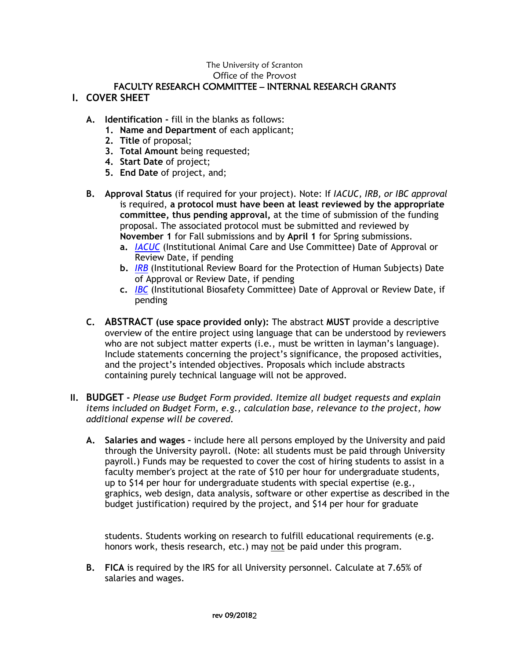## The University of Scranton Office of the Provost

### FACULTY RESEARCH COMMITTEE – INTERNAL RESEARCH GRANTS **I. COVER SHEET**

- **A. Identification -** fill in the blanks as follows:
	- **1. Name and Department** of each applicant;
	- **2. Title** of proposal;
	- **3. Total Amount** being requested;
	- **4. Start Date** of project;
	- **5. End Date** of project, and;
- **B. Approval Status** (if required for your project). Note: If *IACUC, IRB, or IBC approval* is required, **a protocol must have been at least reviewed by the appropriate committee, thus pending approval,** at the time of submission of the funding proposal. The associated protocol must be submitted and reviewed by **November 1** for Fall submissions and by **April 1** for Spring submissions.
	- **a.** *[IACUC](http://matrix.scranton.edu/academics/provost/research/research-compliance/IACUC.shtml)* (Institutional Animal Care and Use Committee) Date of Approval or Review Date, if pending
	- **b.** *[IRB](http://matrix.scranton.edu/academics/provost/research/research-compliance/IRB.shtml)* (Institutional Review Board for the Protection of Human Subjects) Date of Approval or Review Date, if pending
	- **c.** *[IBC](http://matrix.scranton.edu/academics/provost/research/research-compliance/IBC.shtml)* (Institutional Biosafety Committee) Date of Approval or Review Date, if pending
- **C. ABSTRACT (use space provided only):** The abstract **MUST** provide a descriptive overview of the entire project using language that can be understood by reviewers who are not subject matter experts (i.e., must be written in layman's language). Include statements concerning the project's significance, the proposed activities, and the project's intended objectives. Proposals which include abstracts containing purely technical language will not be approved.
- **II. BUDGET -** *Please use Budget Form provided. Itemize all budget requests and explain items included on Budget Form, e.g., calculation base, relevance to the project, how additional expense will be covered.*
	- **A. Salaries and wages –** include here all persons employed by the University and paid through the University payroll. (Note: all students must be paid through University payroll.) Funds may be requested to cover the cost of hiring students to assist in a faculty member's project at the rate of \$10 per hour for undergraduate students, up to \$14 per hour for undergraduate students with special expertise (e.g., graphics, web design, data analysis, software or other expertise as described in the budget justification) required by the project, and \$14 per hour for graduate

students. Students working on research to fulfill educational requirements (e.g. honors work, thesis research, etc.) may not be paid under this program.

**B. FICA** is required by the IRS for all University personnel. Calculate at 7.65% of salaries and wages.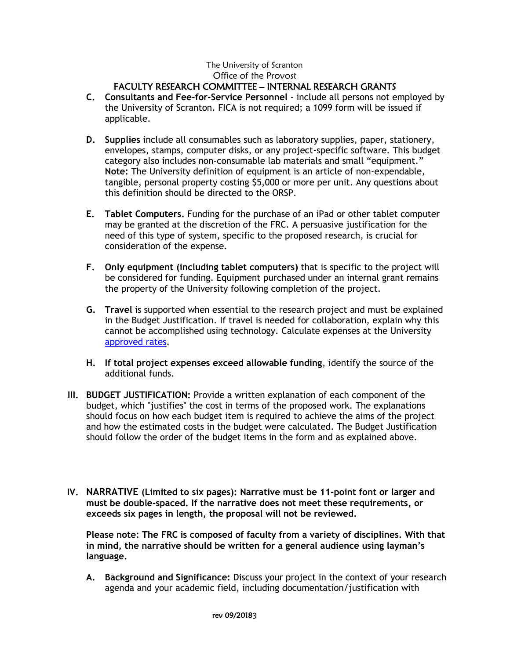# The University of Scranton Office of the Provost

## FACULTY RESEARCH COMMITTEE – INTERNAL RESEARCH GRANTS

- **C. Consultants and Fee-for-Service Personnel**  include all persons not employed by the University of Scranton. FICA is not required; a 1099 form will be issued if applicable.
- **D. Supplies** include all consumables such as laboratory supplies, paper, stationery, envelopes, stamps, computer disks, or any project-specific software. This budget category also includes non-consumable lab materials and small "equipment." **Note:** The University definition of equipment is an article of non-expendable, tangible, personal property costing \$5,000 or more per unit. Any questions about this definition should be directed to the ORSP.
- **E. Tablet Computers.** Funding for the purchase of an iPad or other tablet computer may be granted at the discretion of the FRC. A persuasive justification for the need of this type of system, specific to the proposed research, is crucial for consideration of the expense.
- **F. Only equipment (including tablet computers)** that is specific to the project will be considered for funding. Equipment purchased under an internal grant remains the property of the University following completion of the project.
- **G. Travel** is supported when essential to the research project and must be explained in the Budget Justification. If travel is needed for collaboration, explain why this cannot be accomplished using technology. Calculate expenses at the University [approved rates.](http://web2.scranton.edu/purchasing/Travel-Policy.pdf)
- **H. If total project expenses exceed allowable funding**, identify the source of the additional funds.
- **III. BUDGET JUSTIFICATION:** Provide a written explanation of each component of the budget, which "justifies" the cost in terms of the proposed work. The explanations should focus on how each budget item is required to achieve the aims of the project and how the estimated costs in the budget were calculated. The Budget Justification should follow the order of the budget items in the form and as explained above.
- **IV. NARRATIVE (Limited to six pages): Narrative must be 11-point font or larger and must be double-spaced. If the narrative does not meet these requirements, or exceeds six pages in length, the proposal will not be reviewed.**

**Please note: The FRC is composed of faculty from a variety of disciplines. With that in mind, the narrative should be written for a general audience using layman's language.**

**A. Background and Significance:** Discuss your project in the context of your research agenda and your academic field, including documentation/justification with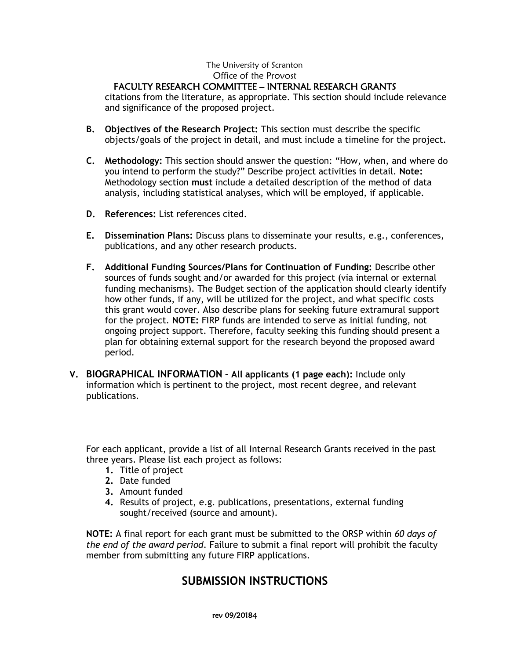#### The University of Scranton Office of the Provost

## FACULTY RESEARCH COMMITTEE – INTERNAL RESEARCH GRANTS

citations from the literature, as appropriate. This section should include relevance and significance of the proposed project.

- **B. Objectives of the Research Project:** This section must describe the specific objects/goals of the project in detail, and must include a timeline for the project.
- **C. Methodology:** This section should answer the question: "How, when, and where do you intend to perform the study?" Describe project activities in detail. **Note:** Methodology section **must** include a detailed description of the method of data analysis, including statistical analyses, which will be employed, if applicable.
- **D. References:** List references cited.
- **E. Dissemination Plans:** Discuss plans to disseminate your results, e.g., conferences, publications, and any other research products.
- **F. Additional Funding Sources/Plans for Continuation of Funding:** Describe other sources of funds sought and/or awarded for this project (via internal or external funding mechanisms). The Budget section of the application should clearly identify how other funds, if any, will be utilized for the project, and what specific costs this grant would cover. Also describe plans for seeking future extramural support for the project. **NOTE:** FIRP funds are intended to serve as initial funding, not ongoing project support. Therefore, faculty seeking this funding should present a plan for obtaining external support for the research beyond the proposed award period.
- **V. BIOGRAPHICAL INFORMATION – All applicants (1 page each):** Include only information which is pertinent to the project, most recent degree, and relevant publications.

For each applicant, provide a list of all Internal Research Grants received in the past three years. Please list each project as follows:

- **1.** Title of project
- **2.** Date funded
- **3.** Amount funded
- **4.** Results of project, e.g. publications, presentations, external funding sought/received (source and amount).

**NOTE:** A final report for each grant must be submitted to the ORSP within *60 days of the end of the award period*. Failure to submit a final report will prohibit the faculty member from submitting any future FIRP applications.

## **SUBMISSION INSTRUCTIONS**

rev 09/20184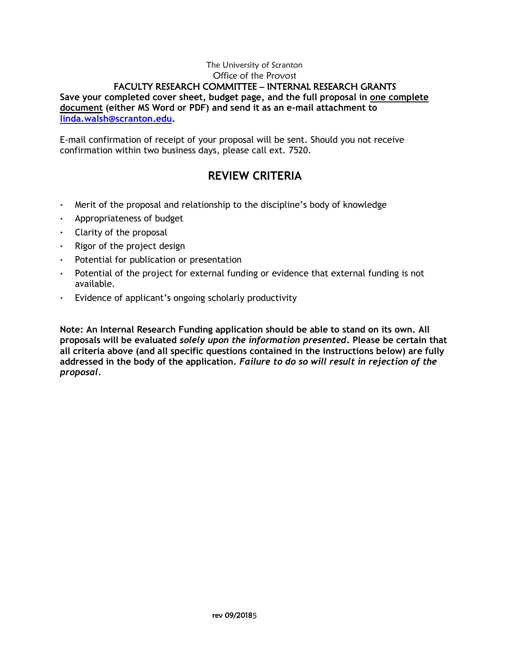**Save your completed cover sheet, budget page, and the full proposal in one complete document (either MS Word or PDF) and send it as an e-mail attachment to [linda.walsh@scranton.edu.](mailto:linda.walsh@scranton.edu)**

E-mail confirmation of receipt of your proposal will be sent. Should you not receive confirmation within two business days, please call ext. 7520.

# **REVIEW CRITERIA**

- Merit of the proposal and relationship to the discipline's body of knowledge
- Appropriateness of budget
- $\cdot$  Clarity of the proposal
- $\cdot$  Rigor of the project design
- Potential for publication or presentation
- Potential of the project for external funding or evidence that external funding is not available.
- Evidence of applicant's ongoing scholarly productivity

**Note: An Internal Research Funding application should be able to stand on its own. All proposals will be evaluated** *solely upon the information presented***. Please be certain that all criteria above (and all specific questions contained in the instructions below) are fully addressed in the body of the application.** *Failure to do so will result in rejection of the proposal.*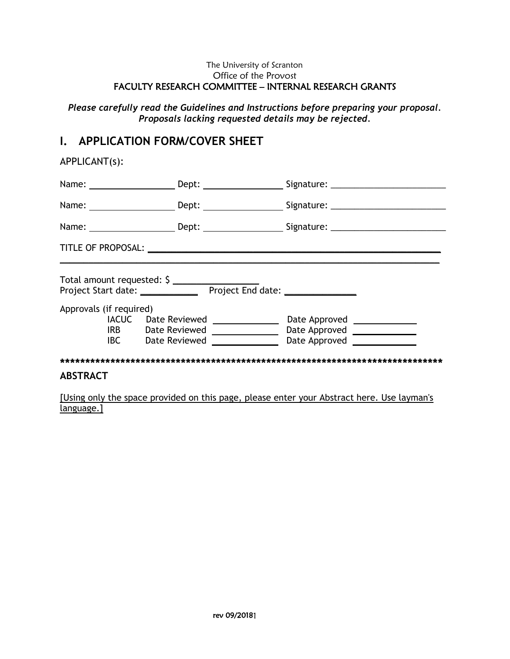*Please carefully read the Guidelines and Instructions before preparing your proposal. Proposals lacking requested details may be rejected.*

## **I. APPLICATION FORM/COVER SHEET**

APPLICANT(s):

|                         |                                                                                                | Name: ________________________Dept: _______________________Signature: ______________________________ |
|-------------------------|------------------------------------------------------------------------------------------------|------------------------------------------------------------------------------------------------------|
|                         |                                                                                                |                                                                                                      |
|                         |                                                                                                |                                                                                                      |
| Approvals (if required) | Total amount requested: \$                                                                     |                                                                                                      |
| <b>IACUC</b>            | Date Reviewed _______________<br>IRB Date Reviewed _______________<br><b>IBC</b> Date Reviewed | Date Approved _______________<br>Date Approved _______________<br>Date Approved <u>New York Bate</u> |
|                         |                                                                                                |                                                                                                      |
| <b>ABSTRACT</b>         |                                                                                                |                                                                                                      |

[Using only the space provided on this page, please enter your Abstract here. Use layman's language.]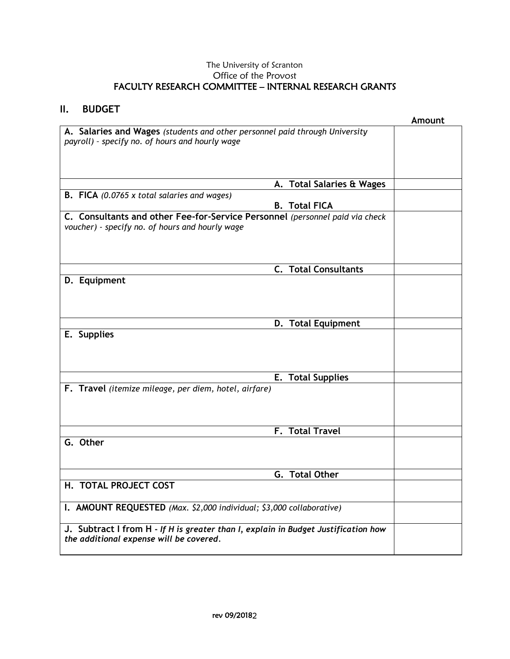**II. BUDGET**

# **Amount A. Salaries and Wages** *(students and other personnel paid through University payroll) – specify no. of hours and hourly wage* **A. Total Salaries & Wages B. FICA** *(0.0765 x total salaries and wages)* **B. Total FICA C. Consultants and other Fee-for-Service Personnel** *(personnel paid via check voucher) - specify no. of hours and hourly wage* **C. Total Consultants D. Equipment D. Total Equipment E. Supplies E. Total Supplies F. Travel** *(itemize mileage, per diem, hotel, airfare)* **F. Total Travel G. Other G. Total Other H. TOTAL PROJECT COST I. AMOUNT REQUESTED** *(Max. \$2,000 individual; \$3,000 collaborative)* **J. Subtract I from H -** *If H is greater than I, explain in Budget Justification how the additional expense will be covered.*